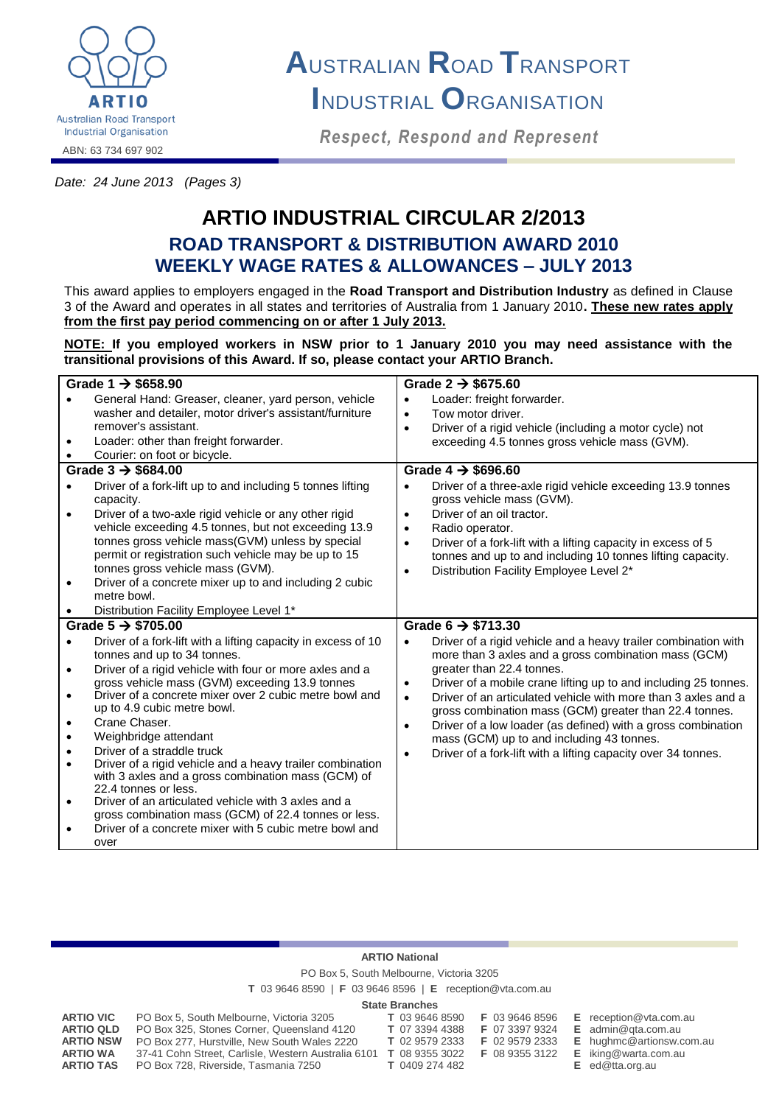

# **A**USTRALIAN **R**OAD **T**RANSPORT **I**NDUSTRIAL **O**RGANISATION

*Respect, Respond and Represent*

*Date: 24 June 2013 (Pages 3)*

# **ARTIO INDUSTRIAL CIRCULAR 2/2013 ROAD TRANSPORT & DISTRIBUTION AWARD 2010 WEEKLY WAGE RATES & ALLOWANCES – JULY 2013**

This award applies to employers engaged in the **Road Transport and Distribution Industry** as defined in Clause 3 of the Award and operates in all states and territories of Australia from 1 January 2010**. These new rates apply from the first pay period commencing on or after 1 July 2013.**

**NOTE: If you employed workers in NSW prior to 1 January 2010 you may need assistance with the transitional provisions of this Award. If so, please contact your ARTIO Branch.**

| Grade 1 $\rightarrow$ \$658.90 |                                                                                                          | Grade $2 \rightarrow $675.60$ |                                                                                                           |  |  |
|--------------------------------|----------------------------------------------------------------------------------------------------------|-------------------------------|-----------------------------------------------------------------------------------------------------------|--|--|
|                                | General Hand: Greaser, cleaner, yard person, vehicle                                                     | $\bullet$                     | Loader: freight forwarder.                                                                                |  |  |
|                                | washer and detailer, motor driver's assistant/furniture                                                  | $\bullet$                     | Tow motor driver.                                                                                         |  |  |
|                                | remover's assistant.                                                                                     | $\bullet$                     | Driver of a rigid vehicle (including a motor cycle) not                                                   |  |  |
| $\bullet$                      | Loader: other than freight forwarder.                                                                    |                               | exceeding 4.5 tonnes gross vehicle mass (GVM).                                                            |  |  |
| $\bullet$                      | Courier: on foot or bicycle.                                                                             |                               |                                                                                                           |  |  |
|                                | Grade $3 \rightarrow$ \$684.00                                                                           |                               | Grade 4 $\rightarrow$ \$696.60                                                                            |  |  |
| $\bullet$                      | Driver of a fork-lift up to and including 5 tonnes lifting                                               | $\bullet$                     | Driver of a three-axle rigid vehicle exceeding 13.9 tonnes                                                |  |  |
|                                | capacity.                                                                                                |                               | gross vehicle mass (GVM).                                                                                 |  |  |
| $\bullet$                      | Driver of a two-axle rigid vehicle or any other rigid                                                    | $\bullet$                     | Driver of an oil tractor.                                                                                 |  |  |
|                                | vehicle exceeding 4.5 tonnes, but not exceeding 13.9                                                     | $\bullet$                     | Radio operator.                                                                                           |  |  |
|                                | tonnes gross vehicle mass(GVM) unless by special                                                         | $\bullet$                     | Driver of a fork-lift with a lifting capacity in excess of 5                                              |  |  |
|                                | permit or registration such vehicle may be up to 15                                                      |                               | tonnes and up to and including 10 tonnes lifting capacity.                                                |  |  |
|                                | tonnes gross vehicle mass (GVM).                                                                         | $\bullet$                     | Distribution Facility Employee Level 2*                                                                   |  |  |
|                                | Driver of a concrete mixer up to and including 2 cubic                                                   |                               |                                                                                                           |  |  |
|                                | metre bowl.                                                                                              |                               |                                                                                                           |  |  |
|                                | Distribution Facility Employee Level 1*                                                                  |                               |                                                                                                           |  |  |
|                                | Grade $5 \rightarrow $705.00$                                                                            |                               | Grade 6 $\rightarrow$ \$713.30                                                                            |  |  |
| $\bullet$                      | Driver of a fork-lift with a lifting capacity in excess of 10                                            | $\bullet$                     | Driver of a rigid vehicle and a heavy trailer combination with                                            |  |  |
|                                | tonnes and up to 34 tonnes.                                                                              |                               | more than 3 axles and a gross combination mass (GCM)                                                      |  |  |
| $\bullet$                      | Driver of a rigid vehicle with four or more axles and a                                                  |                               | greater than 22.4 tonnes.                                                                                 |  |  |
|                                | gross vehicle mass (GVM) exceeding 13.9 tonnes<br>Driver of a concrete mixer over 2 cubic metre bowl and | $\bullet$                     | Driver of a mobile crane lifting up to and including 25 tonnes.                                           |  |  |
| $\bullet$                      | up to 4.9 cubic metre bowl.                                                                              | $\bullet$                     | Driver of an articulated vehicle with more than 3 axles and a                                             |  |  |
| $\bullet$                      | Crane Chaser.                                                                                            |                               | gross combination mass (GCM) greater than 22.4 tonnes.                                                    |  |  |
| $\bullet$                      | Weighbridge attendant                                                                                    | $\bullet$                     | Driver of a low loader (as defined) with a gross combination<br>mass (GCM) up to and including 43 tonnes. |  |  |
| $\bullet$                      | Driver of a straddle truck                                                                               |                               | Driver of a fork-lift with a lifting capacity over 34 tonnes.                                             |  |  |
| $\bullet$                      | Driver of a rigid vehicle and a heavy trailer combination                                                | $\bullet$                     |                                                                                                           |  |  |
|                                | with 3 axles and a gross combination mass (GCM) of                                                       |                               |                                                                                                           |  |  |
|                                | 22.4 tonnes or less.                                                                                     |                               |                                                                                                           |  |  |
| $\bullet$                      | Driver of an articulated vehicle with 3 axles and a                                                      |                               |                                                                                                           |  |  |
|                                | gross combination mass (GCM) of 22.4 tonnes or less.                                                     |                               |                                                                                                           |  |  |
|                                | Driver of a concrete mixer with 5 cubic metre bowl and                                                   |                               |                                                                                                           |  |  |
|                                | over                                                                                                     |                               |                                                                                                           |  |  |

#### **ARTIO National**

PO Box 5, South Melbourne, Victoria 3205

**T** 03 9646 8590 | **F** 03 9646 8596 | **E** reception@vta.com.au

#### **State Branches**

| <b>ARTIO VIC</b> | PO Box 5, South Melbourne, Victoria 3205            | T 03 9646 8590        | F 03 9646 8596 | $E$ reception @ vta.com.au  |
|------------------|-----------------------------------------------------|-----------------------|----------------|-----------------------------|
| <b>ARTIO QLD</b> | PO Box 325, Stones Corner, Queensland 4120          | T 07 3394 4388        | F 07 3397 9324 | $E$ admin@gta.com.au        |
| <b>ARTIO NSW</b> | PO Box 277, Hurstville, New South Wales 2220        | <b>T</b> 02 9579 2333 | F 02 9579 2333 | E hughmc@artionsw.com.au    |
| <b>ARTIO WA</b>  | 37-41 Cohn Street, Carlisle, Western Australia 6101 | <b>T</b> 08 9355 3022 | F 08 9355 3122 | <b>E</b> iking@warta.com.au |
| <b>ARTIO TAS</b> | PO Box 728, Riverside, Tasmania 7250                | <b>T</b> 0409 274 482 |                | $E$ ed@tta.org.au           |
|                  |                                                     |                       |                |                             |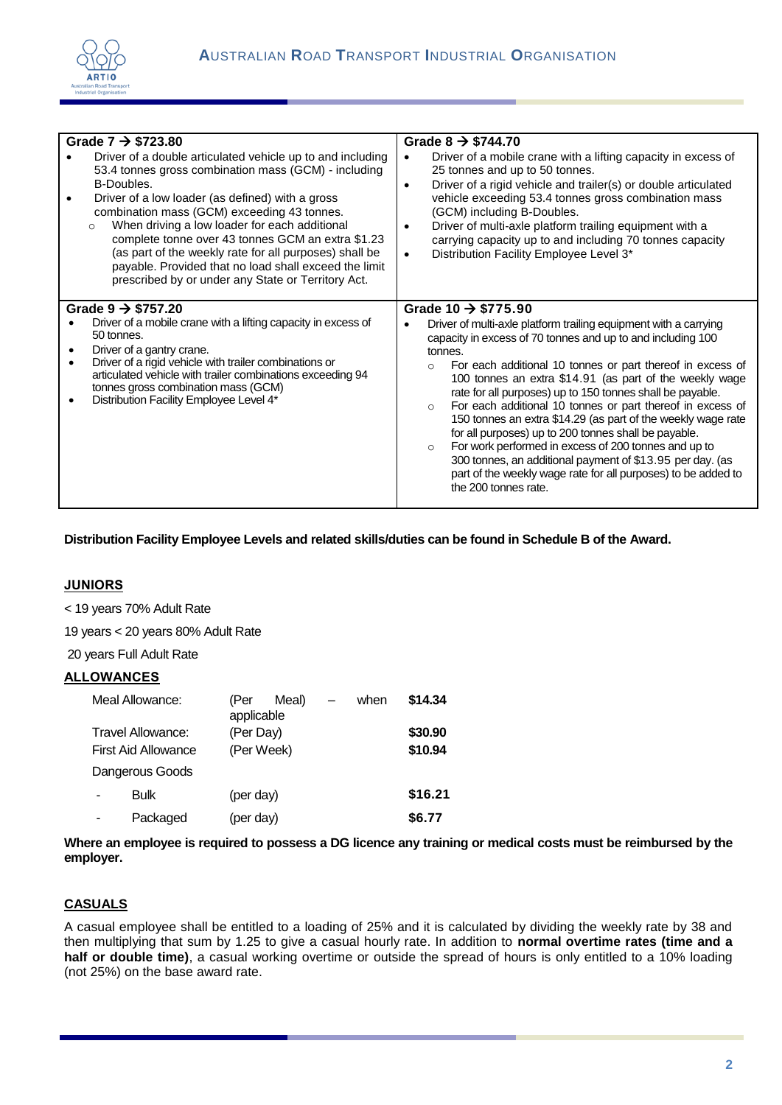

| Grade $7 \rightarrow $723.80$<br>Driver of a double articulated vehicle up to and including<br>53.4 tonnes gross combination mass (GCM) - including<br>B-Doubles.<br>Driver of a low loader (as defined) with a gross<br>combination mass (GCM) exceeding 43 tonnes.<br>When driving a low loader for each additional<br>$\circ$<br>complete tonne over 43 tonnes GCM an extra \$1.23<br>(as part of the weekly rate for all purposes) shall be<br>payable. Provided that no load shall exceed the limit<br>prescribed by or under any State or Territory Act. | Grade $8 \rightarrow $744.70$<br>Driver of a mobile crane with a lifting capacity in excess of<br>25 tonnes and up to 50 tonnes.<br>Driver of a rigid vehicle and trailer(s) or double articulated<br>$\bullet$<br>vehicle exceeding 53.4 tonnes gross combination mass<br>(GCM) including B-Doubles.<br>Driver of multi-axle platform trailing equipment with a<br>carrying capacity up to and including 70 tonnes capacity<br>Distribution Facility Employee Level 3*                                                                                                                                                                                                                                                                                                                                  |  |  |  |  |  |
|----------------------------------------------------------------------------------------------------------------------------------------------------------------------------------------------------------------------------------------------------------------------------------------------------------------------------------------------------------------------------------------------------------------------------------------------------------------------------------------------------------------------------------------------------------------|----------------------------------------------------------------------------------------------------------------------------------------------------------------------------------------------------------------------------------------------------------------------------------------------------------------------------------------------------------------------------------------------------------------------------------------------------------------------------------------------------------------------------------------------------------------------------------------------------------------------------------------------------------------------------------------------------------------------------------------------------------------------------------------------------------|--|--|--|--|--|
| Grade $9 \rightarrow $757.20$<br>Driver of a mobile crane with a lifting capacity in excess of<br>50 tonnes.<br>Driver of a gantry crane.<br>Driver of a rigid vehicle with trailer combinations or<br>٠<br>articulated vehicle with trailer combinations exceeding 94<br>tonnes gross combination mass (GCM)<br>Distribution Facility Employee Level 4*                                                                                                                                                                                                       | Grade 10 $\rightarrow$ \$775.90<br>Driver of multi-axle platform trailing equipment with a carrying<br>capacity in excess of 70 tonnes and up to and including 100<br>tonnes.<br>For each additional 10 tonnes or part thereof in excess of<br>$\circ$<br>100 tonnes an extra \$14.91 (as part of the weekly wage<br>rate for all purposes) up to 150 tonnes shall be payable.<br>For each additional 10 tonnes or part thereof in excess of<br>$\circ$<br>150 tonnes an extra \$14.29 (as part of the weekly wage rate<br>for all purposes) up to 200 tonnes shall be payable.<br>For work performed in excess of 200 tonnes and up to<br>$\circ$<br>300 tonnes, an additional payment of \$13.95 per day. (as<br>part of the weekly wage rate for all purposes) to be added to<br>the 200 tonnes rate. |  |  |  |  |  |

# **Distribution Facility Employee Levels and related skills/duties can be found in Schedule B of the Award.**

### **JUNIORS**

< 19 years 70% Adult Rate

19 years < 20 years 80% Adult Rate

20 years Full Adult Rate

#### **ALLOWANCES**

|                     | Meal Allowance:   | (Per<br>applicable | Meal) | $\overline{\phantom{0}}$ | when    | \$14.34 |
|---------------------|-------------------|--------------------|-------|--------------------------|---------|---------|
|                     | Travel Allowance: | (Per Day)          |       |                          |         | \$30.90 |
| First Aid Allowance |                   | (Per Week)         |       |                          | \$10.94 |         |
|                     | Dangerous Goods   |                    |       |                          |         |         |
|                     | Bulk              | (per day)          |       |                          |         | \$16.21 |
|                     | Packaged          | (per day)          |       |                          |         | \$6.77  |

**Where an employee is required to possess a DG licence any training or medical costs must be reimbursed by the employer.**

## **CASUALS**

A casual employee shall be entitled to a loading of 25% and it is calculated by dividing the weekly rate by 38 and then multiplying that sum by 1.25 to give a casual hourly rate. In addition to **normal overtime rates (time and a half or double time)**, a casual working overtime or outside the spread of hours is only entitled to a 10% loading (not 25%) on the base award rate.